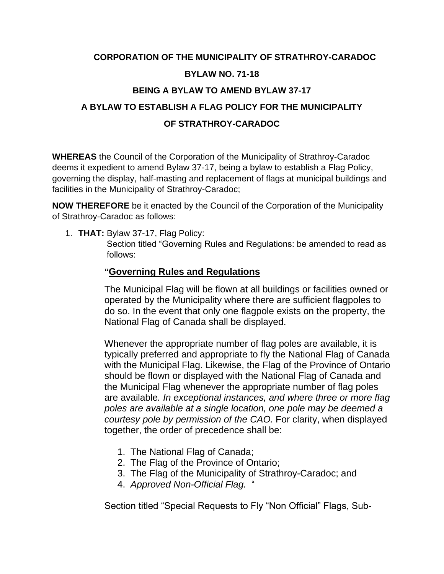### **CORPORATION OF THE MUNICIPALITY OF STRATHROY-CARADOC BYLAW NO. 71-18**

#### **BEING A BYLAW TO AMEND BYLAW 37-17**

## **A BYLAW TO ESTABLISH A FLAG POLICY FOR THE MUNICIPALITY OF STRATHROY-CARADOC**

**WHEREAS** the Council of the Corporation of the Municipality of Strathroy-Caradoc deems it expedient to amend Bylaw 37-17, being a bylaw to establish a Flag Policy, governing the display, half-masting and replacement of flags at municipal buildings and facilities in the Municipality of Strathroy-Caradoc;

**NOW THEREFORE** be it enacted by the Council of the Corporation of the Municipality of Strathroy-Caradoc as follows:

1. **THAT:** Bylaw 37-17, Flag Policy:

Section titled "Governing Rules and Regulations: be amended to read as follows:

#### **"Governing Rules and Regulations**

The Municipal Flag will be flown at all buildings or facilities owned or operated by the Municipality where there are sufficient flagpoles to do so. In the event that only one flagpole exists on the property, the National Flag of Canada shall be displayed.

Whenever the appropriate number of flag poles are available, it is typically preferred and appropriate to fly the National Flag of Canada with the Municipal Flag. Likewise, the Flag of the Province of Ontario should be flown or displayed with the National Flag of Canada and the Municipal Flag whenever the appropriate number of flag poles are available*. In exceptional instances, and where three or more flag poles are available at a single location, one pole may be deemed a courtesy pole by permission of the CAO.* For clarity, when displayed together, the order of precedence shall be:

- 1. The National Flag of Canada;
- 2. The Flag of the Province of Ontario;
- 3. The Flag of the Municipality of Strathroy-Caradoc; and
- 4. *Approved Non-Official Flag.* "

Section titled "Special Requests to Fly "Non Official" Flags, Sub-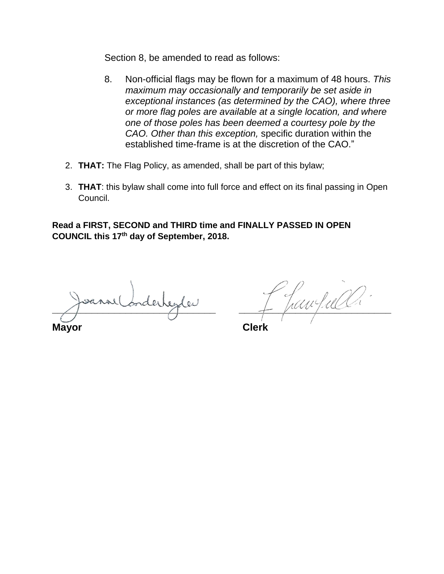Section 8, be amended to read as follows:

- 8. Non-official flags may be flown for a maximum of 48 hours. *This maximum may occasionally and temporarily be set aside in exceptional instances (as determined by the CAO), where three or more flag poles are available at a single location, and where one of those poles has been deemed a courtesy pole by the CAO. Other than this exception,* specific duration within the established time-frame is at the discretion of the CAO."
- 2. **THAT:** The Flag Policy, as amended, shall be part of this bylaw;
- 3. **THAT**: this bylaw shall come into full force and effect on its final passing in Open Council.

**Read a FIRST, SECOND and THIRD time and FINALLY PASSED IN OPEN COUNCIL this 17th day of September, 2018.**

**Mayor Clerk**

 $\text{Im}\,\Box$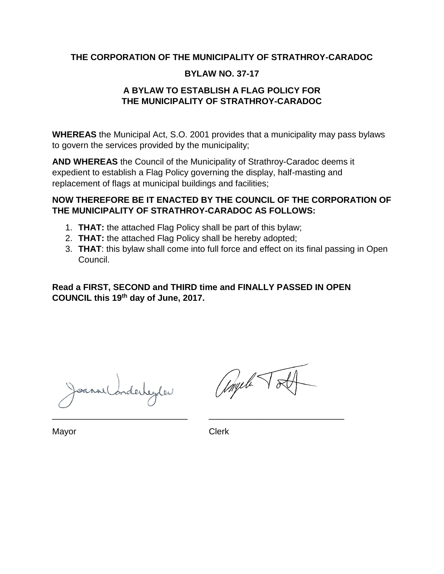#### **THE CORPORATION OF THE MUNICIPALITY OF STRATHROY-CARADOC**

#### **BYLAW NO. 37-17**

#### **A BYLAW TO ESTABLISH A FLAG POLICY FOR THE MUNICIPALITY OF STRATHROY-CARADOC**

**WHEREAS** the Municipal Act, S.O. 2001 provides that a municipality may pass bylaws to govern the services provided by the municipality;

**AND WHEREAS** the Council of the Municipality of Strathroy-Caradoc deems it expedient to establish a Flag Policy governing the display, half-masting and replacement of flags at municipal buildings and facilities;

#### **NOW THEREFORE BE IT ENACTED BY THE COUNCIL OF THE CORPORATION OF THE MUNICIPALITY OF STRATHROY-CARADOC AS FOLLOWS:**

- 1. **THAT:** the attached Flag Policy shall be part of this bylaw;
- 2. **THAT:** the attached Flag Policy shall be hereby adopted;
- 3. **THAT**: this bylaw shall come into full force and effect on its final passing in Open Council.

**Read a FIRST, SECOND and THIRD time and FINALLY PASSED IN OPEN COUNCIL this 19th day of June, 2017.**

borderheyder

Ungeli

Mayor **Clerk** 

\_\_\_\_\_\_\_\_\_\_\_\_\_\_\_\_\_\_\_\_\_\_\_\_\_\_\_\_ \_\_\_\_\_\_\_\_\_\_\_\_\_\_\_\_\_\_\_\_\_\_\_\_\_\_\_\_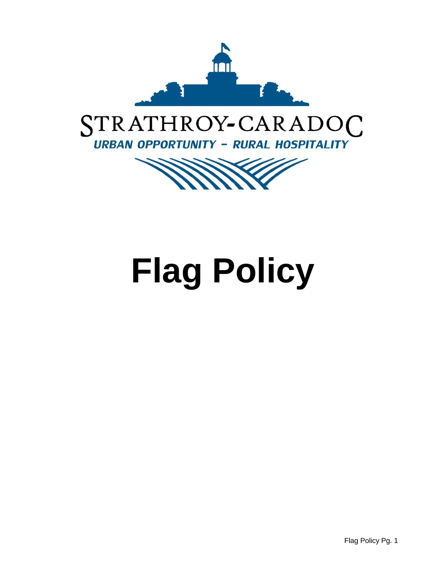

# STRATHROY-CARADOC **URBAN OPPORTUNITY - RURAL HOSPITALITY**



# **Flag Policy**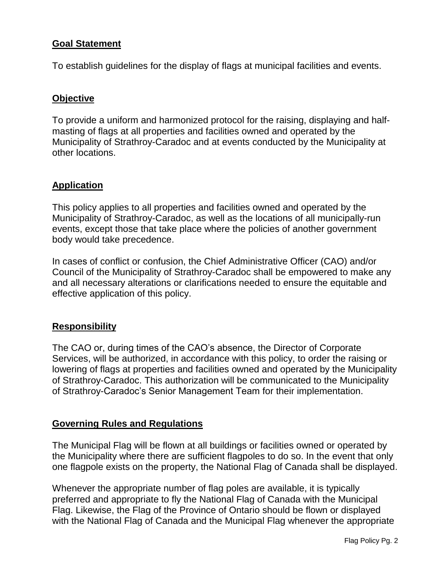#### **Goal Statement**

To establish guidelines for the display of flags at municipal facilities and events.

#### **Objective**

To provide a uniform and harmonized protocol for the raising, displaying and halfmasting of flags at all properties and facilities owned and operated by the Municipality of Strathroy-Caradoc and at events conducted by the Municipality at other locations.

#### **Application**

This policy applies to all properties and facilities owned and operated by the Municipality of Strathroy-Caradoc, as well as the locations of all municipally-run events, except those that take place where the policies of another government body would take precedence.

In cases of conflict or confusion, the Chief Administrative Officer (CAO) and/or Council of the Municipality of Strathroy-Caradoc shall be empowered to make any and all necessary alterations or clarifications needed to ensure the equitable and effective application of this policy.

#### **Responsibility**

The CAO or, during times of the CAO's absence, the Director of Corporate Services, will be authorized, in accordance with this policy, to order the raising or lowering of flags at properties and facilities owned and operated by the Municipality of Strathroy-Caradoc. This authorization will be communicated to the Municipality of Strathroy-Caradoc's Senior Management Team for their implementation.

#### **Governing Rules and Regulations**

The Municipal Flag will be flown at all buildings or facilities owned or operated by the Municipality where there are sufficient flagpoles to do so. In the event that only one flagpole exists on the property, the National Flag of Canada shall be displayed.

Whenever the appropriate number of flag poles are available, it is typically preferred and appropriate to fly the National Flag of Canada with the Municipal Flag. Likewise, the Flag of the Province of Ontario should be flown or displayed with the National Flag of Canada and the Municipal Flag whenever the appropriate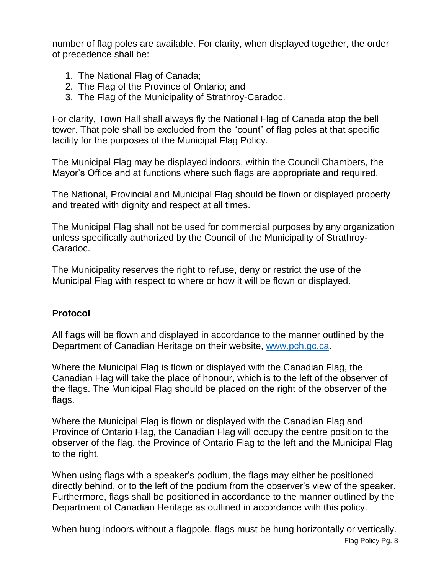number of flag poles are available. For clarity, when displayed together, the order of precedence shall be:

- 1. The National Flag of Canada;
- 2. The Flag of the Province of Ontario; and
- 3. The Flag of the Municipality of Strathroy-Caradoc.

For clarity, Town Hall shall always fly the National Flag of Canada atop the bell tower. That pole shall be excluded from the "count" of flag poles at that specific facility for the purposes of the Municipal Flag Policy.

The Municipal Flag may be displayed indoors, within the Council Chambers, the Mayor's Office and at functions where such flags are appropriate and required.

The National, Provincial and Municipal Flag should be flown or displayed properly and treated with dignity and respect at all times.

The Municipal Flag shall not be used for commercial purposes by any organization unless specifically authorized by the Council of the Municipality of Strathroy-Caradoc.

The Municipality reserves the right to refuse, deny or restrict the use of the Municipal Flag with respect to where or how it will be flown or displayed.

#### **Protocol**

All flags will be flown and displayed in accordance to the manner outlined by the Department of Canadian Heritage on their website, [www.pch.gc.ca.](http://www.pch.gc.ca/)

Where the Municipal Flag is flown or displayed with the Canadian Flag, the Canadian Flag will take the place of honour, which is to the left of the observer of the flags. The Municipal Flag should be placed on the right of the observer of the flags.

Where the Municipal Flag is flown or displayed with the Canadian Flag and Province of Ontario Flag, the Canadian Flag will occupy the centre position to the observer of the flag, the Province of Ontario Flag to the left and the Municipal Flag to the right.

When using flags with a speaker's podium, the flags may either be positioned directly behind, or to the left of the podium from the observer's view of the speaker. Furthermore, flags shall be positioned in accordance to the manner outlined by the Department of Canadian Heritage as outlined in accordance with this policy.

When hung indoors without a flagpole, flags must be hung horizontally or vertically.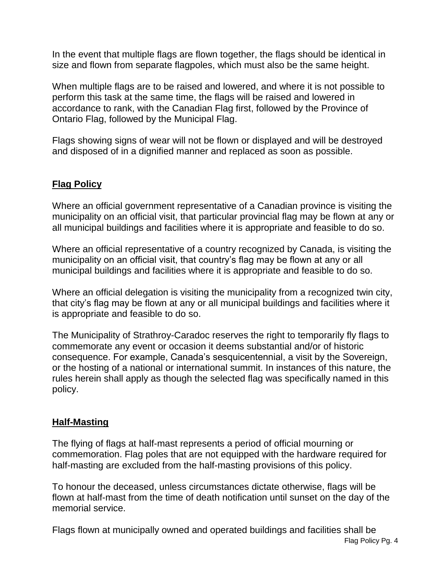In the event that multiple flags are flown together, the flags should be identical in size and flown from separate flagpoles, which must also be the same height.

When multiple flags are to be raised and lowered, and where it is not possible to perform this task at the same time, the flags will be raised and lowered in accordance to rank, with the Canadian Flag first, followed by the Province of Ontario Flag, followed by the Municipal Flag.

Flags showing signs of wear will not be flown or displayed and will be destroyed and disposed of in a dignified manner and replaced as soon as possible.

#### **Flag Policy**

Where an official government representative of a Canadian province is visiting the municipality on an official visit, that particular provincial flag may be flown at any or all municipal buildings and facilities where it is appropriate and feasible to do so.

Where an official representative of a country recognized by Canada, is visiting the municipality on an official visit, that country's flag may be flown at any or all municipal buildings and facilities where it is appropriate and feasible to do so.

Where an official delegation is visiting the municipality from a recognized twin city, that city's flag may be flown at any or all municipal buildings and facilities where it is appropriate and feasible to do so.

The Municipality of Strathroy-Caradoc reserves the right to temporarily fly flags to commemorate any event or occasion it deems substantial and/or of historic consequence. For example, Canada's sesquicentennial, a visit by the Sovereign, or the hosting of a national or international summit. In instances of this nature, the rules herein shall apply as though the selected flag was specifically named in this policy.

#### **Half-Masting**

The flying of flags at half-mast represents a period of official mourning or commemoration. Flag poles that are not equipped with the hardware required for half-masting are excluded from the half-masting provisions of this policy.

To honour the deceased, unless circumstances dictate otherwise, flags will be flown at half-mast from the time of death notification until sunset on the day of the memorial service.

Flag Policy Pg. 4 Flags flown at municipally owned and operated buildings and facilities shall be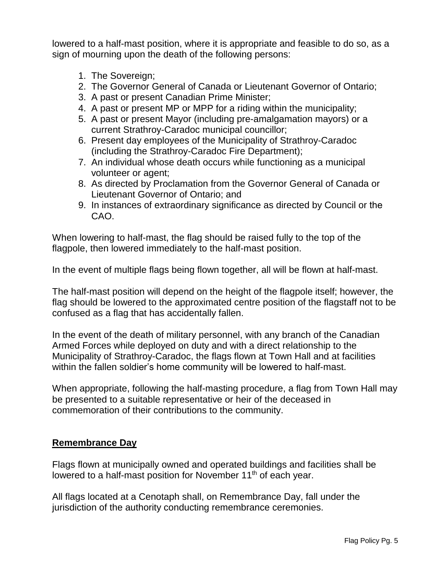lowered to a half-mast position, where it is appropriate and feasible to do so, as a sign of mourning upon the death of the following persons:

- 1. The Sovereign;
- 2. The Governor General of Canada or Lieutenant Governor of Ontario;
- 3. A past or present Canadian Prime Minister;
- 4. A past or present MP or MPP for a riding within the municipality;
- 5. A past or present Mayor (including pre-amalgamation mayors) or a current Strathroy-Caradoc municipal councillor;
- 6. Present day employees of the Municipality of Strathroy-Caradoc (including the Strathroy-Caradoc Fire Department);
- 7. An individual whose death occurs while functioning as a municipal volunteer or agent;
- 8. As directed by Proclamation from the Governor General of Canada or Lieutenant Governor of Ontario; and
- 9. In instances of extraordinary significance as directed by Council or the CAO.

When lowering to half-mast, the flag should be raised fully to the top of the flagpole, then lowered immediately to the half-mast position.

In the event of multiple flags being flown together, all will be flown at half-mast.

The half-mast position will depend on the height of the flagpole itself; however, the flag should be lowered to the approximated centre position of the flagstaff not to be confused as a flag that has accidentally fallen.

In the event of the death of military personnel, with any branch of the Canadian Armed Forces while deployed on duty and with a direct relationship to the Municipality of Strathroy-Caradoc, the flags flown at Town Hall and at facilities within the fallen soldier's home community will be lowered to half-mast.

When appropriate, following the half-masting procedure, a flag from Town Hall may be presented to a suitable representative or heir of the deceased in commemoration of their contributions to the community.

#### **Remembrance Day**

Flags flown at municipally owned and operated buildings and facilities shall be lowered to a half-mast position for November 11<sup>th</sup> of each year.

All flags located at a Cenotaph shall, on Remembrance Day, fall under the jurisdiction of the authority conducting remembrance ceremonies.